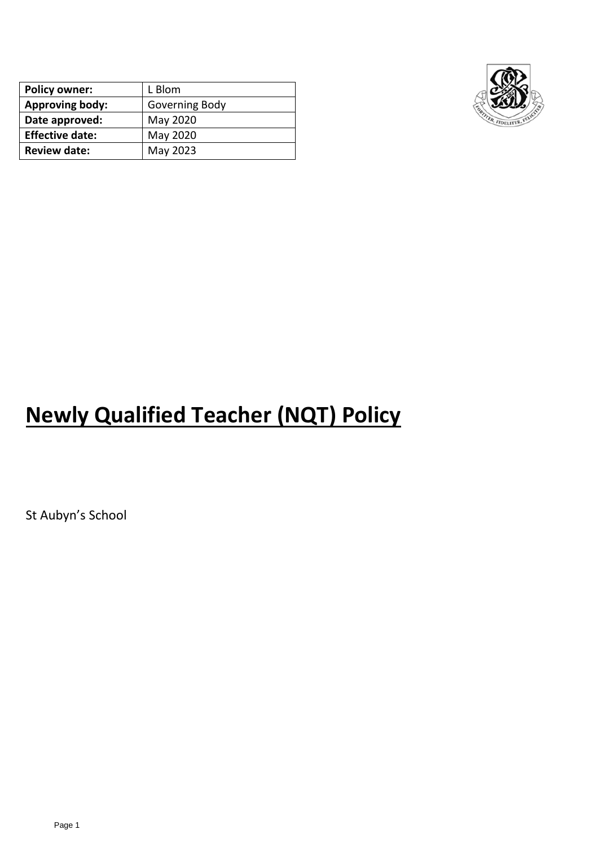| <b>Policy owner:</b>   | L Blom         |
|------------------------|----------------|
| <b>Approving body:</b> | Governing Body |
| Date approved:         | May 2020       |
| <b>Effective date:</b> | May 2020       |
| <b>Review date:</b>    | May 2023       |



# **Newly Qualified Teacher (NQT) Policy**

St Aubyn's School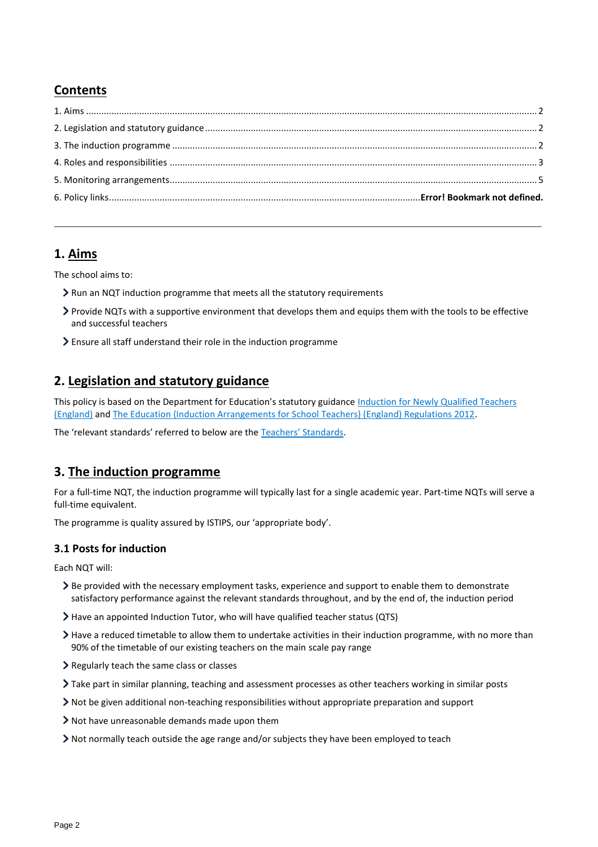# **Contents**

# <span id="page-1-0"></span>**1. Aims**

The school aims to:

- Run an NQT induction programme that meets all the statutory requirements
- Provide NQTs with a supportive environment that develops them and equips them with the tools to be effective and successful teachers
- Ensure all staff understand their role in the induction programme

# <span id="page-1-1"></span>**2. Legislation and statutory guidance**

This policy is based on the Department for Education's statutory guidance Induction for Newly Qualified Teachers [\(England\)](https://www.gov.uk/government/publications/induction-for-newly-qualified-teachers-nqts) an[d The Education \(Induction Arrangements for School Teachers\) \(England\) Regulations 2012.](http://www.legislation.gov.uk/uksi/2012/1115/contents/made)

The 'relevant standards' referred to below are the [Teachers' Standards](https://www.gov.uk/government/publications/teachers-standards).

# <span id="page-1-2"></span>**3. The induction programme**

For a full-time NQT, the induction programme will typically last for a single academic year. Part-time NQTs will serve a full-time equivalent.

The programme is quality assured by ISTIPS, our 'appropriate body'.

#### **3.1 Posts for induction**

Each NQT will:

- Be provided with the necessary employment tasks, experience and support to enable them to demonstrate satisfactory performance against the relevant standards throughout, and by the end of, the induction period
- Have an appointed Induction Tutor, who will have qualified teacher status (QTS)
- Have a reduced timetable to allow them to undertake activities in their induction programme, with no more than 90% of the timetable of our existing teachers on the main scale pay range
- Regularly teach the same class or classes
- Take part in similar planning, teaching and assessment processes as other teachers working in similar posts
- Not be given additional non-teaching responsibilities without appropriate preparation and support
- Not have unreasonable demands made upon them
- Not normally teach outside the age range and/or subjects they have been employed to teach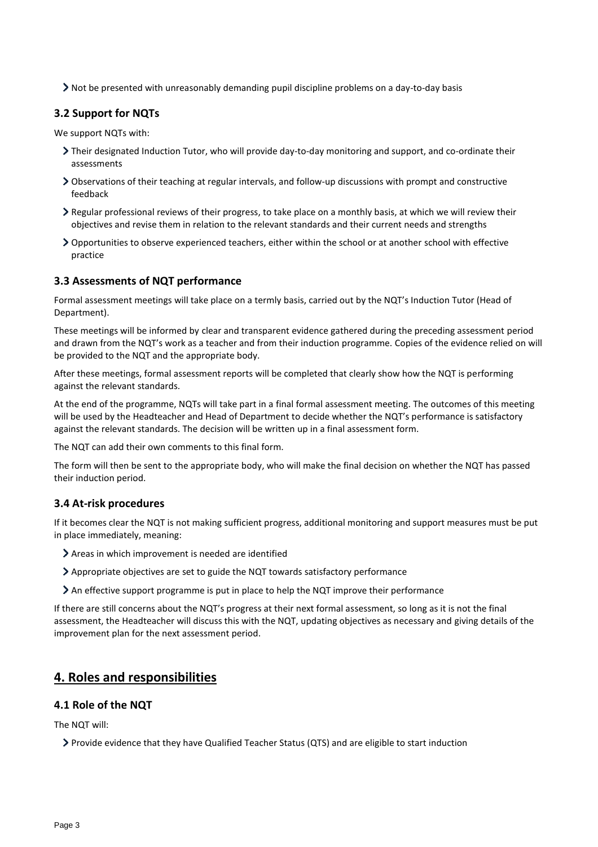Not be presented with unreasonably demanding pupil discipline problems on a day-to-day basis

## **3.2 Support for NQTs**

We support NQTs with:

- Their designated Induction Tutor, who will provide day-to-day monitoring and support, and co-ordinate their assessments
- Observations of their teaching at regular intervals, and follow-up discussions with prompt and constructive feedback
- Regular professional reviews of their progress, to take place on a monthly basis, at which we will review their objectives and revise them in relation to the relevant standards and their current needs and strengths
- Opportunities to observe experienced teachers, either within the school or at another school with effective practice

#### **3.3 Assessments of NQT performance**

Formal assessment meetings will take place on a termly basis, carried out by the NQT's Induction Tutor (Head of Department).

These meetings will be informed by clear and transparent evidence gathered during the preceding assessment period and drawn from the NQT's work as a teacher and from their induction programme. Copies of the evidence relied on will be provided to the NQT and the appropriate body.

After these meetings, formal assessment reports will be completed that clearly show how the NQT is performing against the relevant standards.

At the end of the programme, NQTs will take part in a final formal assessment meeting. The outcomes of this meeting will be used by the Headteacher and Head of Department to decide whether the NQT's performance is satisfactory against the relevant standards. The decision will be written up in a final assessment form.

The NQT can add their own comments to this final form.

The form will then be sent to the appropriate body, who will make the final decision on whether the NQT has passed their induction period.

#### **3.4 At-risk procedures**

If it becomes clear the NQT is not making sufficient progress, additional monitoring and support measures must be put in place immediately, meaning:

- Areas in which improvement is needed are identified
- Appropriate objectives are set to guide the NQT towards satisfactory performance
- An effective support programme is put in place to help the NQT improve their performance

If there are still concerns about the NQT's progress at their next formal assessment, so long as it is not the final assessment, the Headteacher will discuss this with the NQT, updating objectives as necessary and giving details of the improvement plan for the next assessment period.

# <span id="page-2-0"></span>**4. Roles and responsibilities**

#### **4.1 Role of the NQT**

The NQT will:

Provide evidence that they have Qualified Teacher Status (QTS) and are eligible to start induction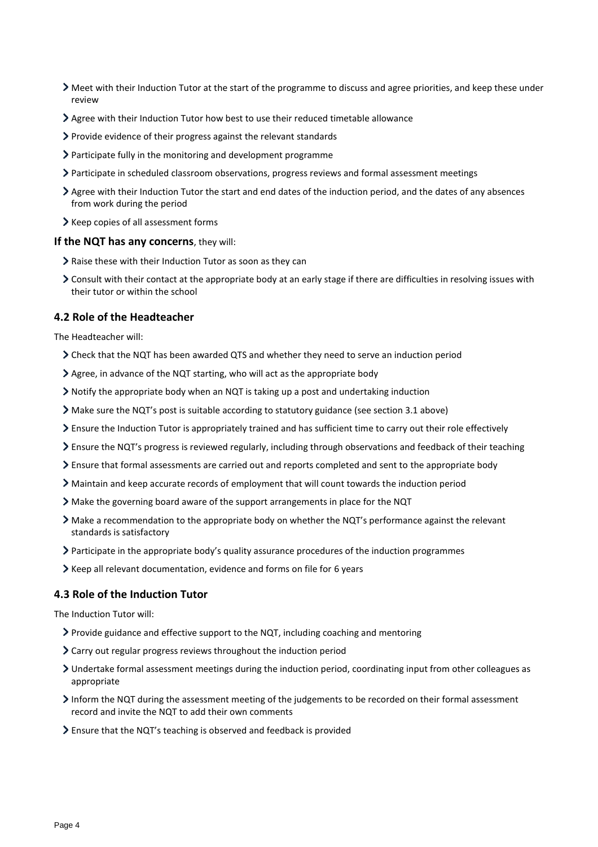- Meet with their Induction Tutor at the start of the programme to discuss and agree priorities, and keep these under review
- Agree with their Induction Tutor how best to use their reduced timetable allowance
- Provide evidence of their progress against the relevant standards
- Participate fully in the monitoring and development programme
- Participate in scheduled classroom observations, progress reviews and formal assessment meetings
- Agree with their Induction Tutor the start and end dates of the induction period, and the dates of any absences from work during the period
- > Keep copies of all assessment forms

#### **If the NQT has any concerns**, they will:

- Raise these with their Induction Tutor as soon as they can
- Consult with their contact at the appropriate body at an early stage if there are difficulties in resolving issues with their tutor or within the school

### **4.2 Role of the Headteacher**

The Headteacher will:

- Check that the NQT has been awarded QTS and whether they need to serve an induction period
- Agree, in advance of the NQT starting, who will act as the appropriate body
- Notify the appropriate body when an NQT is taking up a post and undertaking induction
- Make sure the NQT's post is suitable according to statutory guidance (see section 3.1 above)
- Ensure the Induction Tutor is appropriately trained and has sufficient time to carry out their role effectively
- Ensure the NQT's progress is reviewed regularly, including through observations and feedback of their teaching
- Ensure that formal assessments are carried out and reports completed and sent to the appropriate body
- Maintain and keep accurate records of employment that will count towards the induction period
- Make the governing board aware of the support arrangements in place for the NQT
- Make a recommendation to the appropriate body on whether the NQT's performance against the relevant standards is satisfactory
- Participate in the appropriate body's quality assurance procedures of the induction programmes
- Keep all relevant documentation, evidence and forms on file for 6 years

#### **4.3 Role of the Induction Tutor**

The Induction Tutor will:

- Provide guidance and effective support to the NQT, including coaching and mentoring
- Carry out regular progress reviews throughout the induction period
- Undertake formal assessment meetings during the induction period, coordinating input from other colleagues as appropriate
- Inform the NQT during the assessment meeting of the judgements to be recorded on their formal assessment record and invite the NQT to add their own comments
- Ensure that the NQT's teaching is observed and feedback is provided